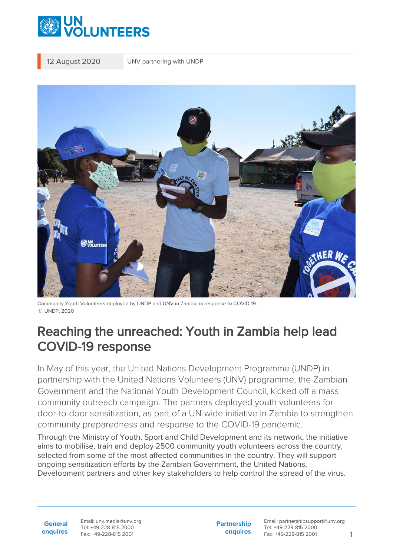

12 August 2020 UNV partnering with UNDP



Community Youth Volunteers deployed by UNDP and UNV in Zambia in response to COVID-19 . © UNDP, 2020

## Reaching the unreached: Youth in Zambia help lead COVID-19 response

In May of this year, the United Nations Development Programme (UNDP) in partnership with the United Nations Volunteers (UNV) programme, the Zambian Government and the National Youth Development Council, kicked off a mass community outreach campaign. The partners deployed youth volunteers for door-to-door sensitization, as part of a UN-wide initiative in Zambia to strengthen community preparedness and response to the COVID-19 pandemic.

Through the Ministry of Youth, Sport and Child Development and its network, the initiative aims to mobilise, train and deploy 2500 community youth volunteers across the country, selected from some of the most affected communities in the country. They will support ongoing sensitization efforts by the Zambian Government, the United Nations, Development partners and other key stakeholders to help control the spread of the virus.

**General enquires** Email: unv.media@unv.org Tel: +49-228-815 2000 Fax: +49-228-815 2001

**Partnership enquires** Email: partnershipsupport@unv.org Tel: +49-228-815 2000 Fax: +49-228-815 2001 1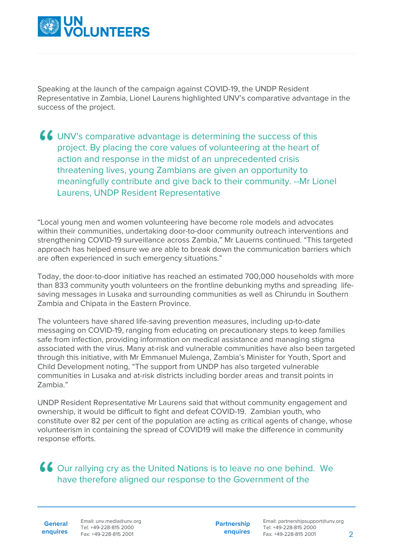

Speaking at the launch of the campaign against COVID-19, the UNDP Resident Representative in Zambia, Lionel Laurens highlighted UNV's comparative advantage in the success of the project.

UNV's comparative advantage is determining the success of this project. By placing the core values of volunteering at the heart of action and response in the midst of an unprecedented crisis threatening lives, young Zambians are given an opportunity to meaningfully contribute and give back to their community. --Mr Lionel Laurens, UNDP Resident Representative

"Local young men and women volunteering have become role models and advocates within their communities, undertaking door-to-door community outreach interventions and strengthening COVID-19 surveillance across Zambia," Mr Lauerns continued. "This targeted approach has helped ensure we are able to break down the communication barriers which are often experienced in such emergency situations."

Today, the door-to-door initiative has reached an estimated 700,000 households with more than 833 community youth volunteers on the frontline debunking myths and spreading lifesaving messages in Lusaka and surrounding communities as well as Chirundu in Southern Zambia and Chipata in the Eastern Province.

The volunteers have shared life-saving prevention measures, including up-to-date messaging on COVID-19, ranging from educating on precautionary steps to keep families safe from infection, providing information on medical assistance and managing stigma associated with the virus. Many at-risk and vulnerable communities have also been targeted through this initiative, with Mr Emmanuel Mulenga, Zambia's Minister for Youth, Sport and Child Development noting, "The support from UNDP has also targeted vulnerable communities in Lusaka and at-risk districts including border areas and transit points in Zambia."

UNDP Resident Representative Mr Laurens said that without community engagement and ownership, it would be difficult to fight and defeat COVID-19. Zambian youth, who constitute over 82 per cent of the population are acting as critical agents of change, whose volunteerism in containing the spread of COVID19 will make the difference in community response efforts.

Our rallying cry as the United Nations is to leave no one behind. We have therefore aligned our response to the Government of the

**General**

**enquires** Tel: +49-228-815 2000 Fax: +49-228-815 2001 Email: unv.media@unv.org<br>Tel: +49-228-815 2000

**Partnership enquires**

Email: partnershipsupport@unv.org Tel: +49-228-815 2000 Fax: +49-228-815 2001 2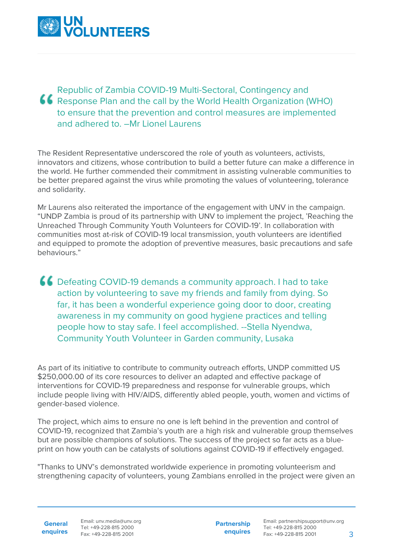

Republic of Zambia COVID-19 Multi-Sectoral, Contingency and Response Plan and the call by the World Health Organization (WHO) to ensure that the prevention and control measures are implemented and adhered to. –Mr Lionel Laurens

The Resident Representative underscored the role of youth as volunteers, activists, innovators and citizens, whose contribution to build a better future can make a difference in the world. He further commended their commitment in assisting vulnerable communities to be better prepared against the virus while promoting the values of volunteering, tolerance and solidarity.

Mr Laurens also reiterated the importance of the engagement with UNV in the campaign. "UNDP Zambia is proud of its partnership with UNV to implement the project, 'Reaching the Unreached Through Community Youth Volunteers for COVID-19'. In collaboration with communities most at-risk of COVID-19 local transmission, youth volunteers are identified and equipped to promote the adoption of preventive measures, basic precautions and safe behaviours."

**CC** Defeating COVID-19 demands a community approach. I had to take action by volunteering to save my friends and family from dying. So far, it has been a wonderful experience going door to door, creating awareness in my community on good hygiene practices and telling people how to stay safe. I feel accomplished. --Stella Nyendwa, Community Youth Volunteer in Garden community, Lusaka

As part of its initiative to contribute to community outreach efforts, UNDP committed US \$250,000.00 of its core resources to deliver an adapted and effective package of interventions for COVID-19 preparedness and response for vulnerable groups, which include people living with HIV/AIDS, differently abled people, youth, women and victims of gender-based violence.

The project, which aims to ensure no one is left behind in the prevention and control of COVID-19, recognized that Zambia's youth are a high risk and vulnerable group themselves but are possible champions of solutions. The success of the project so far acts as a blueprint on how youth can be catalysts of solutions against COVID-19 if effectively engaged.

"Thanks to UNV's demonstrated worldwide experience in promoting volunteerism and strengthening capacity of volunteers, young Zambians enrolled in the project were given an

**General enquires** Email: unv.media@unv.org Tel: +49-228-815 2000 Fax: +49-228-815 2001

**Partnership enquires** Email: partnershipsupport@unv.org Tel: +49-228-815 2000 Fax: +49-228-815 2001 3